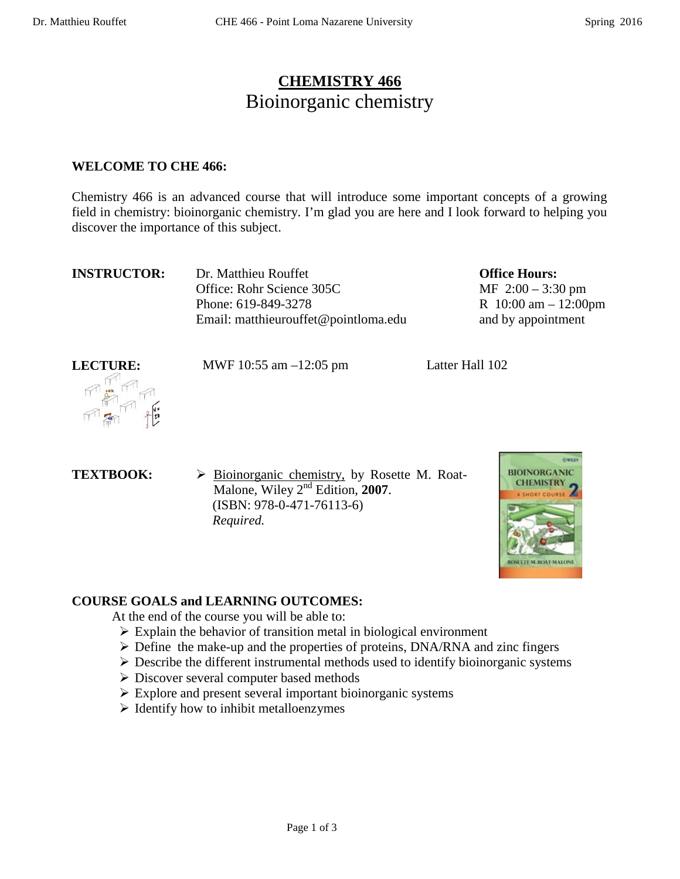# **CHEMISTRY 466** Bioinorganic chemistry

#### **WELCOME TO CHE 466:**

Chemistry 466 is an advanced course that will introduce some important concepts of a growing field in chemistry: bioinorganic chemistry. I'm glad you are here and I look forward to helping you discover the importance of this subject.

| <b>INSTRUCTOR:</b> | Dr. Matthieu Rouffet                 |
|--------------------|--------------------------------------|
|                    | Office: Rohr Science 305C            |
|                    | Phone: 619-849-3278                  |
|                    | Email: matthieurouffet@pointloma.edu |

**Office Hours:**  MF 2:00 – 3:30 pm R 10:00 am – 12:00pm and by appointment



**LECTURE:** MWF 10:55 am -12:05 pm Latter Hall 102

**TEXTBOOK:**  $\rightarrow$  **Bioinorganic chemistry, by Rosette M. Roat-**Malone, Wiley 2nd Edition, **2007**. (ISBN: 978-0-471-76113-6)  *Required.*



### **COURSE GOALS and LEARNING OUTCOMES:**

At the end of the course you will be able to:

- $\triangleright$  Explain the behavior of transition metal in biological environment
- $\triangleright$  Define the make-up and the properties of proteins, DNA/RNA and zinc fingers
- $\triangleright$  Describe the different instrumental methods used to identify bioinorganic systems
- Discover several computer based methods
- $\triangleright$  Explore and present several important bioinorganic systems
- $\triangleright$  Identify how to inhibit metalloenzymes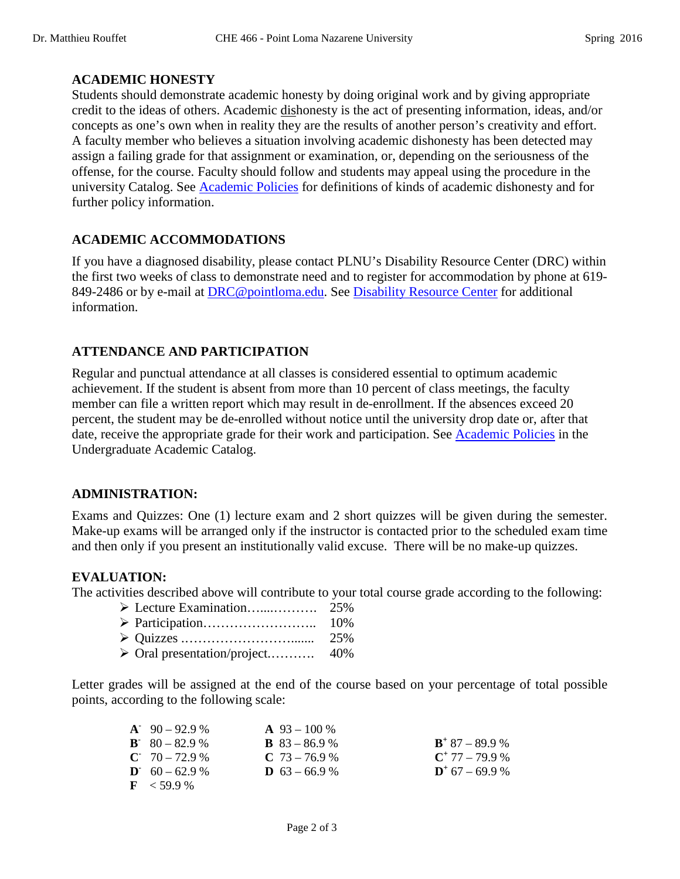#### **ACADEMIC HONESTY**

Students should demonstrate academic honesty by doing original work and by giving appropriate credit to the ideas of others. Academic dishonesty is the act of presenting information, ideas, and/or concepts as one's own when in reality they are the results of another person's creativity and effort. A faculty member who believes a situation involving academic dishonesty has been detected may assign a failing grade for that assignment or examination, or, depending on the seriousness of the offense, for the course. Faculty should follow and students may appeal using the procedure in the university Catalog. See [Academic Policies](http://catalog.pointloma.edu/content.php?catoid=18&navoid=1278) for definitions of kinds of academic dishonesty and for further policy information.

#### **ACADEMIC ACCOMMODATIONS**

If you have a diagnosed disability, please contact PLNU's Disability Resource Center (DRC) within the first two weeks of class to demonstrate need and to register for accommodation by phone at 619- 849-2486 or by e-mail at [DRC@pointloma.edu.](mailto:DRC@pointloma.edu) See [Disability Resource Center](http://www.pointloma.edu/experience/offices/administrative-offices/academic-advising-office/disability-resource-center) for additional information.

#### **ATTENDANCE AND PARTICIPATION**

Regular and punctual attendance at all classes is considered essential to optimum academic achievement. If the student is absent from more than 10 percent of class meetings, the faculty member can file a written report which may result in de-enrollment. If the absences exceed 20 percent, the student may be de-enrolled without notice until the university drop date or, after that date, receive the appropriate grade for their work and participation. See [Academic Policies](http://catalog.pointloma.edu/content.php?catoid=18&navoid=1278) in the Undergraduate Academic Catalog.

#### **ADMINISTRATION:**

Exams and Quizzes: One (1) lecture exam and 2 short quizzes will be given during the semester. Make-up exams will be arranged only if the instructor is contacted prior to the scheduled exam time and then only if you present an institutionally valid excuse. There will be no make-up quizzes.

#### **EVALUATION:**

The activities described above will contribute to your total course grade according to the following:

| $\sim$ 0 1 $\sim$ 1 $\sim$ 100/ |  |
|---------------------------------|--|

Oral presentation/project.………. 40%

Letter grades will be assigned at the end of the course based on your percentage of total possible points, according to the following scale:

| $A^2$ 90 – 92.9 %                | $\mathbf{A}$ 93 – 100 % |                            |
|----------------------------------|-------------------------|----------------------------|
| $\mathbf{B} = 80 - 82.9 \%$      | <b>B</b> $83 - 86.9$ %  | $\mathbf{B}^+$ 87 – 89.9 % |
| $C = 70 - 72.9$ %                | $C$ 73 – 76.9 %         | $C^+$ 77 – 79.9 %          |
| $\mathbf{D}^{\cdot}$ 60 – 62.9 % | <b>D</b> $63 - 66.9$ %  | $D^*$ 67 – 69.9 %          |
| $\mathbf{F}$ < 59.9 %            |                         |                            |